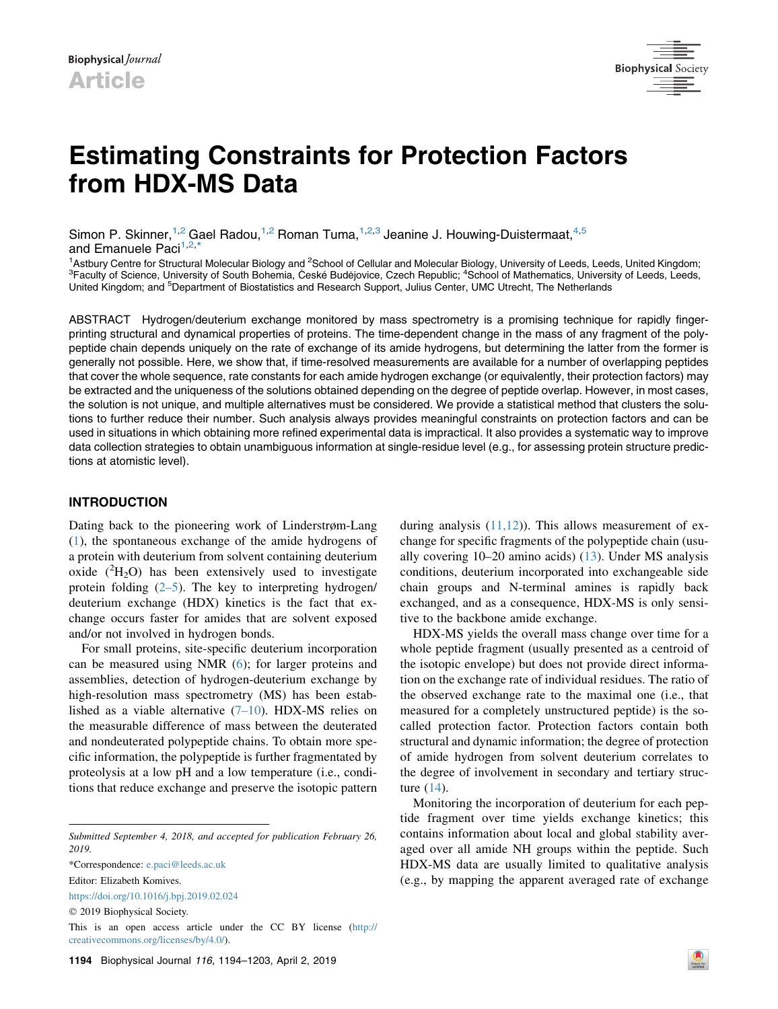

# Estimating Constraints for Protection Factors from HDX-MS Data

Simon P. Skinner,  $1,2$  Gael Radou,  $1,2$  Roman Tuma,  $1,2,3$  Jeanine J. Houwing-Duistermaat,  $4,5$ and Emanuele Paci<sup>1,2,[\\*](#page-0-0)</sup>

<sup>1</sup> Astbury Centre for Structural Molecular Biology and <sup>2</sup> School of Cellular and Molecular Biology, University of Leeds, Leeds, United Kingdom;<br><sup>3</sup> Faculty of Science, University of South Bohomia, Cacké Budějovice, Czech Faculty of Science, University of South Bohemia, České Budějovice, Czech Republic; <sup>4</sup>School of Mathematics, University of Leeds, Leeds, United Kingdom; and <sup>5</sup>Department of Biostatistics and Research Support, Julius Center, UMC Utrecht, The Netherlands

ABSTRACT Hydrogen/deuterium exchange monitored by mass spectrometry is a promising technique for rapidly fingerprinting structural and dynamical properties of proteins. The time-dependent change in the mass of any fragment of the polypeptide chain depends uniquely on the rate of exchange of its amide hydrogens, but determining the latter from the former is generally not possible. Here, we show that, if time-resolved measurements are available for a number of overlapping peptides that cover the whole sequence, rate constants for each amide hydrogen exchange (or equivalently, their protection factors) may be extracted and the uniqueness of the solutions obtained depending on the degree of peptide overlap. However, in most cases, the solution is not unique, and multiple alternatives must be considered. We provide a statistical method that clusters the solutions to further reduce their number. Such analysis always provides meaningful constraints on protection factors and can be used in situations in which obtaining more refined experimental data is impractical. It also provides a systematic way to improve data collection strategies to obtain unambiguous information at single-residue level (e.g., for assessing protein structure predictions at atomistic level).

## INTRODUCTION

Dating back to the pioneering work of Linderstrøm-Lang ([1\)](#page-8-0), the spontaneous exchange of the amide hydrogens of a protein with deuterium from solvent containing deuterium oxide  $(^{2}H_{2}O)$  has been extensively used to investigate protein folding  $(2-5)$ . The key to interpreting hydrogen/ deuterium exchange (HDX) kinetics is the fact that exchange occurs faster for amides that are solvent exposed and/or not involved in hydrogen bonds.

For small proteins, site-specific deuterium incorporation can be measured using NMR [\(6](#page-8-2)); for larger proteins and assemblies, detection of hydrogen-deuterium exchange by high-resolution mass spectrometry (MS) has been established as a viable alternative  $(7-10)$ . HDX-MS relies on the measurable difference of mass between the deuterated and nondeuterated polypeptide chains. To obtain more specific information, the polypeptide is further fragmentated by proteolysis at a low pH and a low temperature (i.e., conditions that reduce exchange and preserve the isotopic pattern

<https://doi.org/10.1016/j.bpj.2019.02.024>

during analysis  $(11,12)$ ). This allows measurement of exchange for specific fragments of the polypeptide chain (usually covering 10–20 amino acids) [\(13](#page-8-5)). Under MS analysis conditions, deuterium incorporated into exchangeable side chain groups and N-terminal amines is rapidly back exchanged, and as a consequence, HDX-MS is only sensitive to the backbone amide exchange.

HDX-MS yields the overall mass change over time for a whole peptide fragment (usually presented as a centroid of the isotopic envelope) but does not provide direct information on the exchange rate of individual residues. The ratio of the observed exchange rate to the maximal one (i.e., that measured for a completely unstructured peptide) is the socalled protection factor. Protection factors contain both structural and dynamic information; the degree of protection of amide hydrogen from solvent deuterium correlates to the degree of involvement in secondary and tertiary structure [\(14](#page-8-6)).

Monitoring the incorporation of deuterium for each peptide fragment over time yields exchange kinetics; this contains information about local and global stability averaged over all amide NH groups within the peptide. Such HDX-MS data are usually limited to qualitative analysis (e.g., by mapping the apparent averaged rate of exchange

Submitted September 4, 2018, and accepted for publication February 26, 2019.

<span id="page-0-0"></span><sup>\*</sup>Correspondence: [e.paci@leeds.ac.uk](mailto:e.paci@leeds.ac.uk)

Editor: Elizabeth Komives.

 $©$  2019 Biophysical Society.

This is an open access article under the CC BY license [\(http://](http://creativecommons.org/licenses/by/4.0/) [creativecommons.org/licenses/by/4.0/](http://creativecommons.org/licenses/by/4.0/)).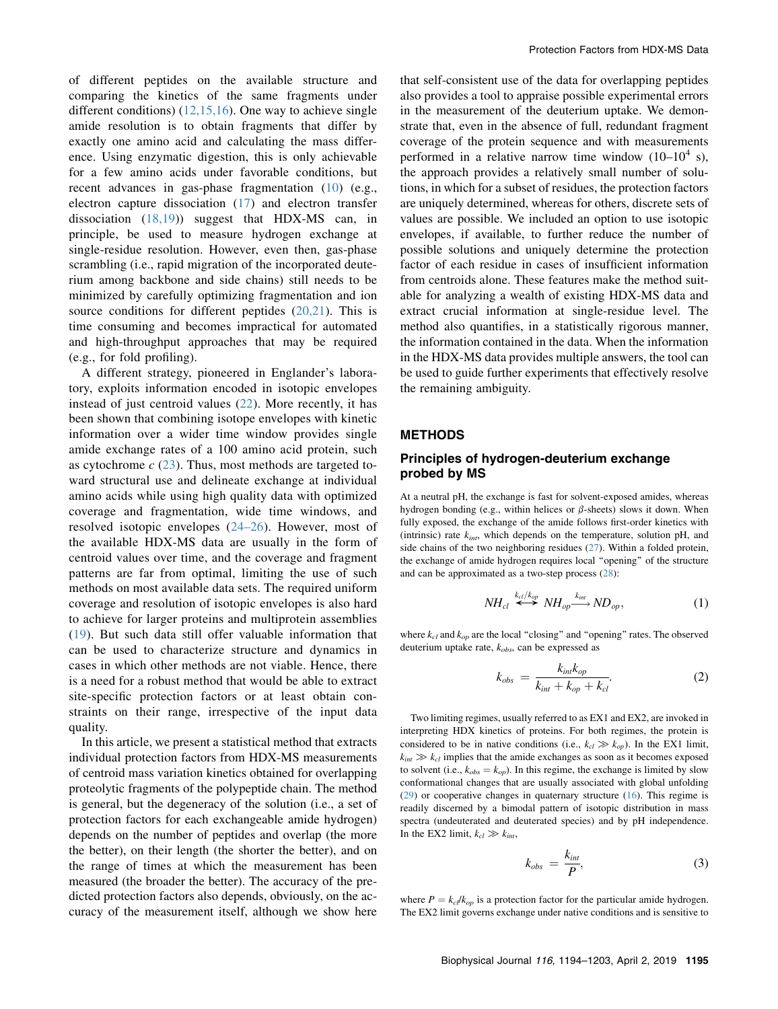of different peptides on the available structure and comparing the kinetics of the same fragments under different conditions) [\(12,15,16](#page-8-7)). One way to achieve single amide resolution is to obtain fragments that differ by exactly one amino acid and calculating the mass difference. Using enzymatic digestion, this is only achievable for a few amino acids under favorable conditions, but recent advances in gas-phase fragmentation ([10\)](#page-8-8) (e.g., electron capture dissociation [\(17](#page-8-9)) and electron transfer dissociation [\(18,19\)](#page-8-10)) suggest that HDX-MS can, in principle, be used to measure hydrogen exchange at single-residue resolution. However, even then, gas-phase scrambling (i.e., rapid migration of the incorporated deuterium among backbone and side chains) still needs to be minimized by carefully optimizing fragmentation and ion source conditions for different peptides ([20,21](#page-8-11)). This is time consuming and becomes impractical for automated and high-throughput approaches that may be required (e.g., for fold profiling).

<span id="page-1-0"></span>A different strategy, pioneered in Englander's laboratory, exploits information encoded in isotopic envelopes instead of just centroid values [\(22](#page-8-12)). More recently, it has been shown that combining isotope envelopes with kinetic information over a wider time window provides single amide exchange rates of a 100 amino acid protein, such as cytochrome  $c$  [\(23](#page-8-13)). Thus, most methods are targeted toward structural use and delineate exchange at individual amino acids while using high quality data with optimized coverage and fragmentation, wide time windows, and resolved isotopic envelopes ([24–26](#page-9-0)). However, most of the available HDX-MS data are usually in the form of centroid values over time, and the coverage and fragment patterns are far from optimal, limiting the use of such methods on most available data sets. The required uniform coverage and resolution of isotopic envelopes is also hard to achieve for larger proteins and multiprotein assemblies ([19](#page-8-14)). But such data still offer valuable information that can be used to characterize structure and dynamics in cases in which other methods are not viable. Hence, there is a need for a robust method that would be able to extract site-specific protection factors or at least obtain constraints on their range, irrespective of the input data quality.

In this article, we present a statistical method that extracts individual protection factors from HDX-MS measurements of centroid mass variation kinetics obtained for overlapping proteolytic fragments of the polypeptide chain. The method is general, but the degeneracy of the solution (i.e., a set of protection factors for each exchangeable amide hydrogen) depends on the number of peptides and overlap (the more the better), on their length (the shorter the better), and on the range of times at which the measurement has been measured (the broader the better). The accuracy of the predicted protection factors also depends, obviously, on the accuracy of the measurement itself, although we show here that self-consistent use of the data for overlapping peptides also provides a tool to appraise possible experimental errors in the measurement of the deuterium uptake. We demonstrate that, even in the absence of full, redundant fragment coverage of the protein sequence and with measurements performed in a relative narrow time window  $(10-10^4 \text{ s})$ , the approach provides a relatively small number of solutions, in which for a subset of residues, the protection factors are uniquely determined, whereas for others, discrete sets of values are possible. We included an option to use isotopic envelopes, if available, to further reduce the number of possible solutions and uniquely determine the protection factor of each residue in cases of insufficient information from centroids alone. These features make the method suitable for analyzing a wealth of existing HDX-MS data and extract crucial information at single-residue level. The method also quantifies, in a statistically rigorous manner, the information contained in the data. When the information in the HDX-MS data provides multiple answers, the tool can be used to guide further experiments that effectively resolve the remaining ambiguity.

#### METHODS

## Principles of hydrogen-deuterium exchange probed by MS

At a neutral pH, the exchange is fast for solvent-exposed amides, whereas hydrogen bonding (e.g., within helices or  $\beta$ -sheets) slows it down. When fully exposed, the exchange of the amide follows first-order kinetics with (intrinsic) rate  $k_{int}$ , which depends on the temperature, solution pH, and side chains of the two neighboring residues ([27\)](#page-9-1). Within a folded protein, the exchange of amide hydrogen requires local ''opening'' of the structure and can be approximated as a two-step process ([28\)](#page-9-2):

$$
NH_{cl} \stackrel{k_{cl}/k_{op}}{\longleftrightarrow} NH_{op} \stackrel{k_{int}}{\longrightarrow} ND_{op}, \qquad (1)
$$

where  $k_{cl}$  and  $k_{op}$  are the local "closing" and "opening" rates. The observed deuterium uptake rate,  $k_{obs}$ , can be expressed as

$$
k_{obs} = \frac{k_{int}k_{op}}{k_{int} + k_{op} + k_{cl}}.\tag{2}
$$

Two limiting regimes, usually referred to as EX1 and EX2, are invoked in interpreting HDX kinetics of proteins. For both regimes, the protein is considered to be in native conditions (i.e.,  $k_{cl} \gg k_{op}$ ). In the EX1 limit,  $k_{int} \gg k_{cl}$  implies that the amide exchanges as soon as it becomes exposed to solvent (i.e.,  $k_{obs} = k_{op}$ ). In this regime, the exchange is limited by slow conformational changes that are usually associated with global unfolding [\(29](#page-9-3)) or cooperative changes in quaternary structure ([16\)](#page-8-15). This regime is readily discerned by a bimodal pattern of isotopic distribution in mass spectra (undeuterated and deuterated species) and by pH independence. In the EX2 limit,  $k_{cl} \gg k_{int}$ ,

$$
k_{obs} = \frac{k_{int}}{P}, \tag{3}
$$

where  $P = k_{cl}/k_{op}$  is a protection factor for the particular amide hydrogen. The EX2 limit governs exchange under native conditions and is sensitive to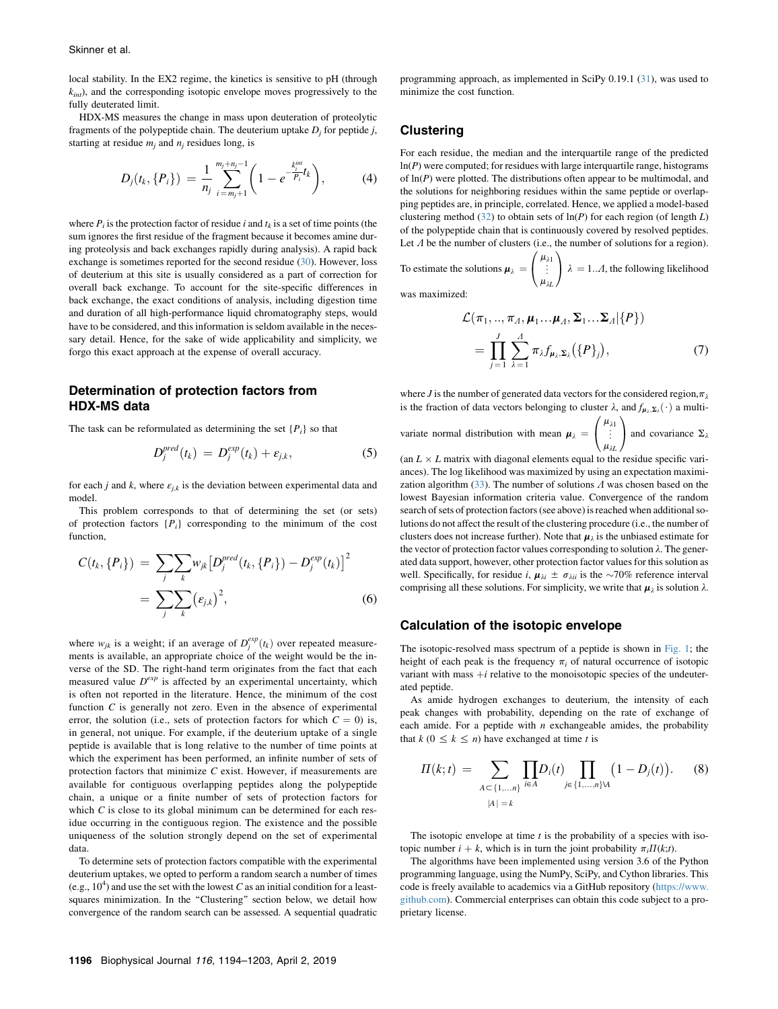local stability. In the EX2 regime, the kinetics is sensitive to pH (through  $k_{int}$ ), and the corresponding isotopic envelope moves progressively to the fully deuterated limit.

<span id="page-2-0"></span>HDX-MS measures the change in mass upon deuteration of proteolytic fragments of the polypeptide chain. The deuterium uptake  $D_i$  for peptide j, starting at residue  $m_i$  and  $n_j$  residues long, is

$$
D_j(t_k, \{P_i\}) = \frac{1}{n_j} \sum_{i=m_j+1}^{m_j+n_j-1} \left(1 - e^{-\frac{k_j^{int}}{P_i}t_k}\right), \tag{4}
$$

where  $P_i$  is the protection factor of residue i and  $t_k$  is a set of time points (the sum ignores the first residue of the fragment because it becomes amine during proteolysis and back exchanges rapidly during analysis). A rapid back exchange is sometimes reported for the second residue ([30\)](#page-9-4). However, loss of deuterium at this site is usually considered as a part of correction for overall back exchange. To account for the site-specific differences in back exchange, the exact conditions of analysis, including digestion time and duration of all high-performance liquid chromatography steps, would have to be considered, and this information is seldom available in the necessary detail. Hence, for the sake of wide applicability and simplicity, we forgo this exact approach at the expense of overall accuracy.

## Determination of protection factors from HDX-MS data

The task can be reformulated as determining the set  $\{P_i\}$  so that

$$
D_j^{pred}(t_k) = D_j^{exp}(t_k) + \varepsilon_{j,k}, \qquad (5)
$$

for each j and k, where  $\varepsilon_{j,k}$  is the deviation between experimental data and model.

This problem corresponds to that of determining the set (or sets) of protection factors  $\{P_i\}$  corresponding to the minimum of the cost function,

$$
C(t_k, \{P_i\}) = \sum_{j} \sum_{k} w_{jk} [D_j^{pred}(t_k, \{P_i\}) - D_j^{exp}(t_k)]^2
$$
  
= 
$$
\sum_{j} \sum_{k} (\varepsilon_{j,k})^2,
$$
 (6)

<span id="page-2-1"></span>where  $w_{jk}$  is a weight; if an average of  $D_j^{exp}(t_k)$  over repeated measure-<br>ments is available an appropriate choice of the weight would be the inments is available, an appropriate choice of the weight would be the inverse of the SD. The right-hand term originates from the fact that each measured value  $D^{exp}$  is affected by an experimental uncertainty, which is often not reported in the literature. Hence, the minimum of the cost function  $C$  is generally not zero. Even in the absence of experimental error, the solution (i.e., sets of protection factors for which  $C = 0$ ) is, in general, not unique. For example, if the deuterium uptake of a single peptide is available that is long relative to the number of time points at which the experiment has been performed, an infinite number of sets of protection factors that minimize  $C$  exist. However, if measurements are available for contiguous overlapping peptides along the polypeptide chain, a unique or a finite number of sets of protection factors for which  $C$  is close to its global minimum can be determined for each residue occurring in the contiguous region. The existence and the possible uniqueness of the solution strongly depend on the set of experimental data.

To determine sets of protection factors compatible with the experimental deuterium uptakes, we opted to perform a random search a number of times (e.g.,  $10<sup>4</sup>$ ) and use the set with the lowest C as an initial condition for a leastsquares minimization. In the "Clustering" section below, we detail how convergence of the random search can be assessed. A sequential quadratic programming approach, as implemented in SciPy 0.19.1 ([31\)](#page-9-5), was used to minimize the cost function.

#### **Clustering**

For each residue, the median and the interquartile range of the predicted  $ln(P)$  were computed; for residues with large interquartile range, histograms of  $ln(P)$  were plotted. The distributions often appear to be multimodal, and the solutions for neighboring residues within the same peptide or overlapping peptides are, in principle, correlated. Hence, we applied a model-based clustering method ([32\)](#page-9-6) to obtain sets of  $ln(P)$  for each region (of length L) of the polypeptide chain that is continuously covered by resolved peptides. Let  $\Lambda$  be the number of clusters (i.e., the number of solutions for a region).

To estimate the solutions 
$$
\boldsymbol{\mu}_{\lambda} = \begin{pmatrix} \mu_{\lambda 1} \\ \vdots \\ \mu_{\lambda L} \end{pmatrix} \lambda = 1...A
$$
, the following likelihood

was maximized:

$$
\mathcal{L}(\pi_1, ..., \pi_A, \boldsymbol{\mu}_1... \boldsymbol{\mu}_A, \boldsymbol{\Sigma}_1... \boldsymbol{\Sigma}_A | \{P\})
$$
\n
$$
= \prod_{j=1}^J \sum_{\lambda=1}^A \pi_{\lambda} f_{\boldsymbol{\mu}_{\lambda}, \boldsymbol{\Sigma}_{\lambda}} (\{P\}_j), \tag{7}
$$

where J is the number of generated data vectors for the considered region,  $\pi_{\lambda}$ is the fraction of data vectors belonging to cluster  $\lambda$ , and  $f_{\mu_1, \Sigma_2}(\cdot)$  a multi-

variate normal distribution with mean  $\mu_{\lambda}$  =  $\sqrt{2}$  $\overline{1}$  $\mu_{\lambda1}$ «  $\mu_{\lambda L}$ 1 and covariance  $\Sigma_{\lambda}$ 

(an  $L \times L$  matrix with diagonal elements equal to the residue specific variances). The log likelihood was maximized by using an expectation maximization algorithm  $(33)$  $(33)$ . The number of solutions  $\Lambda$  was chosen based on the lowest Bayesian information criteria value. Convergence of the random search of sets of protection factors (see above) is reached when additional solutions do not affect the result of the clustering procedure (i.e., the number of clusters does not increase further). Note that  $\mu_{\lambda}$  is the unbiased estimate for the vector of protection factor values corresponding to solution  $\lambda$ . The generated data support, however, other protection factor values for this solution as well. Specifically, for residue i,  $\mu_{\lambda i} \pm \sigma_{\lambda ii}$  is the ~70% reference interval comprising all these solutions. For simplicity, we write that  $\mu_{\lambda}$  is solution  $\lambda$ .

#### Calculation of the isotopic envelope

The isotopic-resolved mass spectrum of a peptide is shown in [Fig. 1;](#page-3-0) the height of each peak is the frequency  $\pi_i$  of natural occurrence of isotopic variant with mass  $+i$  relative to the monoisotopic species of the undeuterated peptide.

As amide hydrogen exchanges to deuterium, the intensity of each peak changes with probability, depending on the rate of exchange of each amide. For a peptide with  $n$  exchangeable amides, the probability that  $k$  ( $0 \leq k \leq n$ ) have exchanged at time t is

$$
\Pi(k;t) = \sum_{A \subset \{1,\dots,n\}} \prod_{i \in A} D_i(t) \prod_{j \in \{1,\dots,n\} \cup A} (1 - D_j(t)). \tag{8}
$$

The isotopic envelope at time  $t$  is the probability of a species with isotopic number  $i + k$ , which is in turn the joint probability  $\pi_i \Pi(k;t)$ .

The algorithms have been implemented using version 3.6 of the Python programming language, using the NumPy, SciPy, and Cython libraries. This code is freely available to academics via a GitHub repository ([https://www.](https://www.github.com) [github.com](https://www.github.com)). Commercial enterprises can obtain this code subject to a proprietary license.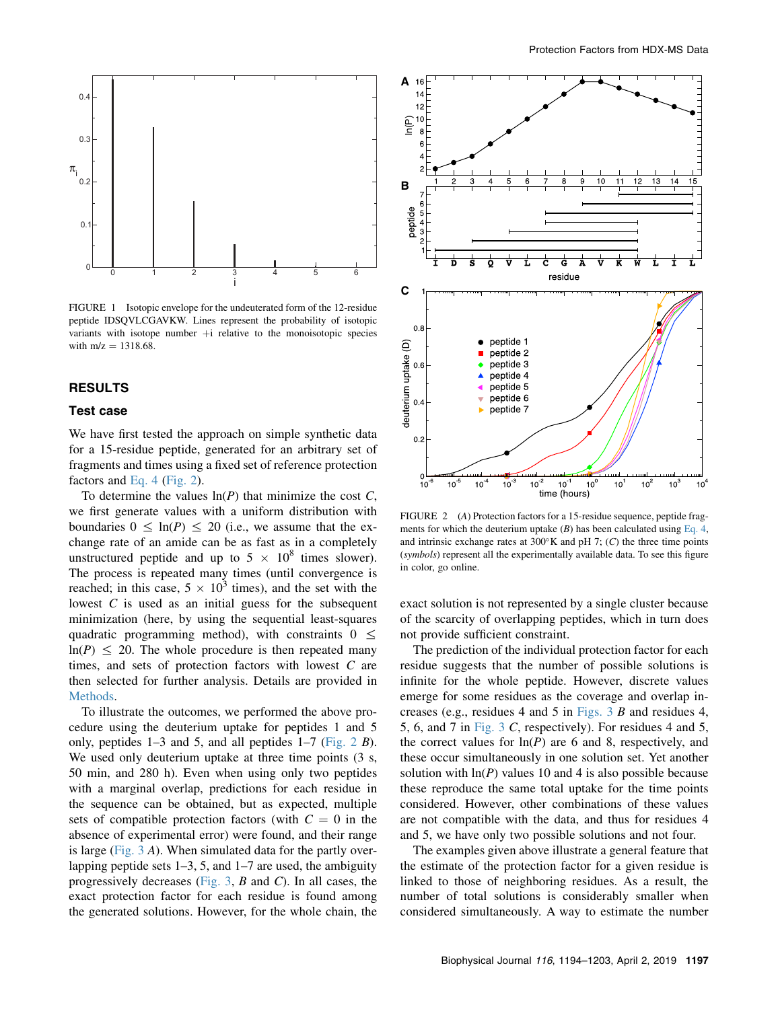<span id="page-3-0"></span>

FIGURE 1 Isotopic envelope for the undeuterated form of the 12-residue peptide IDSQVLCGAVKW. Lines represent the probability of isotopic variants with isotope number  $+i$  relative to the monoisotopic species with  $m/z = 1318.68$ .

# RESULTS

#### Test case

We have first tested the approach on simple synthetic data for a 15-residue peptide, generated for an arbitrary set of fragments and times using a fixed set of reference protection factors and [Eq. 4](#page-2-0) [\(Fig. 2\)](#page-3-0).

To determine the values  $ln(P)$  that minimize the cost C, we first generate values with a uniform distribution with boundaries  $0 \leq \ln(P) \leq 20$  (i.e., we assume that the exchange rate of an amide can be as fast as in a completely unstructured peptide and up to  $5 \times 10^8$  times slower). The process is repeated many times (until convergence is reached; in this case,  $5 \times 10^3$  times), and the set with the lowest C is used as an initial guess for the subsequent minimization (here, by using the sequential least-squares quadratic programming method), with constraints  $0 \leq$  $ln(P) \leq 20$ . The whole procedure is then repeated many times, and sets of protection factors with lowest C are then selected for further analysis. Details are provided in [Methods](#page-1-0).

To illustrate the outcomes, we performed the above procedure using the deuterium uptake for peptides 1 and 5 only, peptides  $1-3$  and 5, and all peptides  $1-7$  [\(Fig. 2](#page-3-0) B). We used only deuterium uptake at three time points  $(3 \text{ s},$ 50 min, and 280 h). Even when using only two peptides with a marginal overlap, predictions for each residue in the sequence can be obtained, but as expected, multiple sets of compatible protection factors (with  $C = 0$  in the absence of experimental error) were found, and their range is large (Fig.  $3$  A). When simulated data for the partly overlapping peptide sets 1–3, 5, and 1–7 are used, the ambiguity progressively decreases [\(Fig. 3](#page-4-0),  $B$  and  $C$ ). In all cases, the exact protection factor for each residue is found among the generated solutions. However, for the whole chain, the



FIGURE 2 (A) Protection factors for a 15-residue sequence, peptide fragments for which the deuterium uptake  $(B)$  has been calculated using [Eq. 4,](#page-2-0) and intrinsic exchange rates at  $300^{\circ}$ K and pH 7; (C) the three time points (symbols) represent all the experimentally available data. To see this figure in color, go online.

exact solution is not represented by a single cluster because of the scarcity of overlapping peptides, which in turn does not provide sufficient constraint.

The prediction of the individual protection factor for each residue suggests that the number of possible solutions is infinite for the whole peptide. However, discrete values emerge for some residues as the coverage and overlap increases (e.g., residues 4 and 5 in [Figs. 3](#page-4-0) B and residues 4, 5, 6, and 7 in [Fig. 3](#page-4-0) C, respectively). For residues 4 and 5, the correct values for  $ln(P)$  are 6 and 8, respectively, and these occur simultaneously in one solution set. Yet another solution with  $ln(P)$  values 10 and 4 is also possible because these reproduce the same total uptake for the time points considered. However, other combinations of these values are not compatible with the data, and thus for residues 4 and 5, we have only two possible solutions and not four.

The examples given above illustrate a general feature that the estimate of the protection factor for a given residue is linked to those of neighboring residues. As a result, the number of total solutions is considerably smaller when considered simultaneously. A way to estimate the number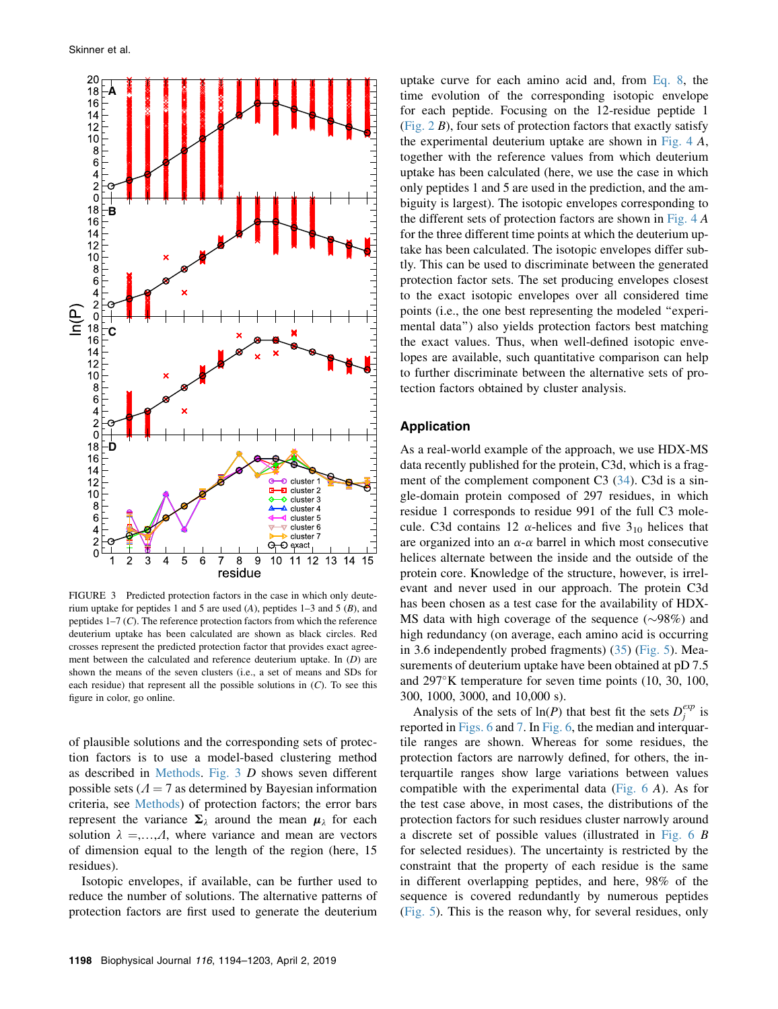<span id="page-4-0"></span>

FIGURE 3 Predicted protection factors in the case in which only deuterium uptake for peptides 1 and 5 are used  $(A)$ , peptides 1–3 and 5  $(B)$ , and peptides 1–7 (C). The reference protection factors from which the reference deuterium uptake has been calculated are shown as black circles. Red crosses represent the predicted protection factor that provides exact agreement between the calculated and reference deuterium uptake. In  $(D)$  are shown the means of the seven clusters (i.e., a set of means and SDs for each residue) that represent all the possible solutions in  $(C)$ . To see this figure in color, go online.

of plausible solutions and the corresponding sets of protection factors is to use a model-based clustering method as described in [Methods](#page-1-0). [Fig. 3](#page-4-0) D shows seven different possible sets ( $\Lambda$  = 7 as determined by Bayesian information criteria, see [Methods\)](#page-1-0) of protection factors; the error bars represent the variance  $\Sigma_{\lambda}$  around the mean  $\mu_{\lambda}$  for each solution  $\lambda =,...,A$ , where variance and mean are vectors of dimension equal to the length of the region (here, 15 residues).

Isotopic envelopes, if available, can be further used to reduce the number of solutions. The alternative patterns of protection factors are first used to generate the deuterium uptake curve for each amino acid and, from [Eq. 8,](#page-2-1) the time evolution of the corresponding isotopic envelope for each peptide. Focusing on the 12-residue peptide 1 (Fig.  $2 B$ ), four sets of protection factors that exactly satisfy the experimental deuterium uptake are shown in Fig.  $4 A$ , together with the reference values from which deuterium uptake has been calculated (here, we use the case in which only peptides 1 and 5 are used in the prediction, and the ambiguity is largest). The isotopic envelopes corresponding to the different sets of protection factors are shown in Fig.  $4A$ for the three different time points at which the deuterium uptake has been calculated. The isotopic envelopes differ subtly. This can be used to discriminate between the generated protection factor sets. The set producing envelopes closest to the exact isotopic envelopes over all considered time points (i.e., the one best representing the modeled ''experimental data'') also yields protection factors best matching the exact values. Thus, when well-defined isotopic envelopes are available, such quantitative comparison can help to further discriminate between the alternative sets of protection factors obtained by cluster analysis.

## Application

As a real-world example of the approach, we use HDX-MS data recently published for the protein, C3d, which is a fragment of the complement component C3 ([34\)](#page-9-8). C3d is a single-domain protein composed of 297 residues, in which residue 1 corresponds to residue 991 of the full C3 molecule. C3d contains 12  $\alpha$ -helices and five 3<sub>10</sub> helices that are organized into an  $\alpha$ - $\alpha$  barrel in which most consecutive helices alternate between the inside and the outside of the protein core. Knowledge of the structure, however, is irrelevant and never used in our approach. The protein C3d has been chosen as a test case for the availability of HDX-MS data with high coverage of the sequence  $(\sim 98\%)$  and high redundancy (on average, each amino acid is occurring in 3.6 independently probed fragments) ([35](#page-9-9)) [\(Fig. 5\)](#page-5-1). Measurements of deuterium uptake have been obtained at pD 7.5 and  $297^{\circ}$ K temperature for seven time points (10, 30, 100, 300, 1000, 3000, and 10,000 s).

Analysis of the sets of  $\ln(P)$  that best fit the sets  $D_i^{exp}$  is reported in [Figs. 6](#page-5-2) and [7.](#page-6-0) In [Fig. 6](#page-5-2), the median and interquartile ranges are shown. Whereas for some residues, the protection factors are narrowly defined, for others, the interquartile ranges show large variations between values compatible with the experimental data (Fig.  $6 \text{ A}$ ). As for the test case above, in most cases, the distributions of the protection factors for such residues cluster narrowly around a discrete set of possible values (illustrated in [Fig. 6](#page-5-2) B for selected residues). The uncertainty is restricted by the constraint that the property of each residue is the same in different overlapping peptides, and here, 98% of the sequence is covered redundantly by numerous peptides ([Fig. 5](#page-5-1)). This is the reason why, for several residues, only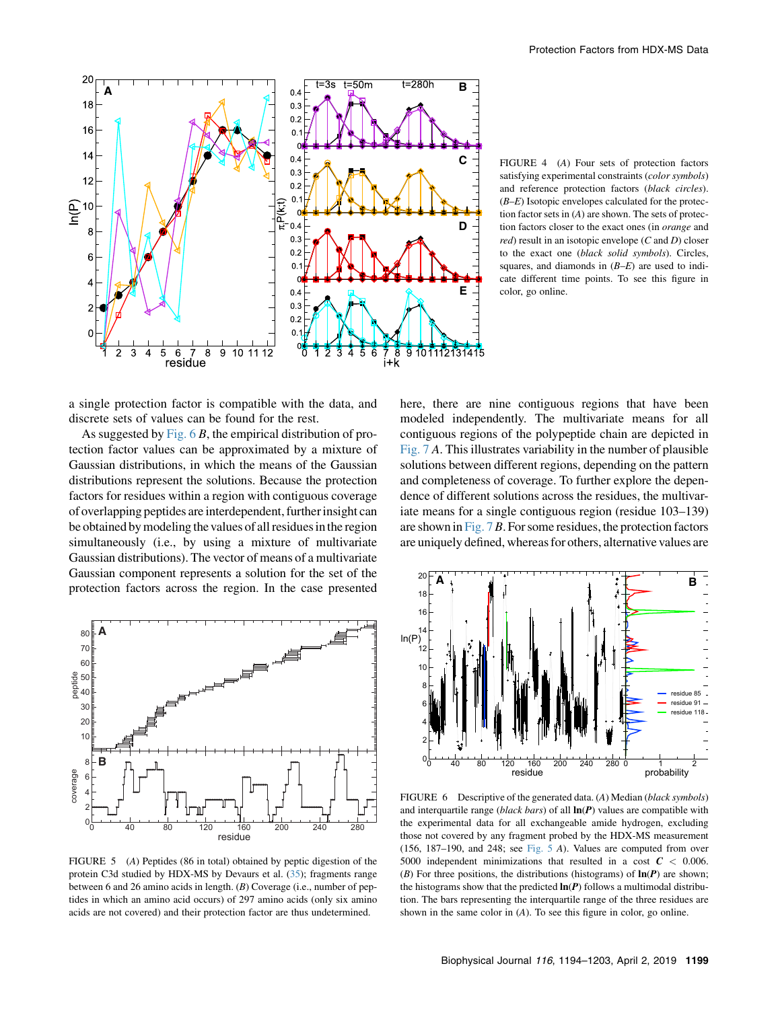<span id="page-5-0"></span>

FIGURE 4 (A) Four sets of protection factors satisfying experimental constraints (color symbols) and reference protection factors (black circles).  $(B-E)$  Isotopic envelopes calculated for the protection factor sets in  $(A)$  are shown. The sets of protection factors closer to the exact ones (in orange and  $red$ ) result in an isotopic envelope (C and D) closer to the exact one (black solid symbols). Circles, squares, and diamonds in  $(B-E)$  are used to indicate different time points. To see this figure in color, go online.

a single protection factor is compatible with the data, and discrete sets of values can be found for the rest.

As suggested by Fig.  $6B$ , the empirical distribution of protection factor values can be approximated by a mixture of Gaussian distributions, in which the means of the Gaussian distributions represent the solutions. Because the protection factors for residues within a region with contiguous coverage of overlapping peptides are interdependent, furtherinsight can be obtained by modeling the values of all residues in the region simultaneously (i.e., by using a mixture of multivariate Gaussian distributions). The vector of means of a multivariate Gaussian component represents a solution for the set of the protection factors across the region. In the case presented

<span id="page-5-2"></span><span id="page-5-1"></span>**A** 80 70 60 peptide 50 40 30  $\overline{2}$  $10$ **B** 8 coverage coverage 6 4 2 0 0 40 80 120 160 200 240 280 residue

FIGURE 5 (A) Peptides (86 in total) obtained by peptic digestion of the protein C3d studied by HDX-MS by Devaurs et al. ([35\)](#page-9-9); fragments range between 6 and 26 amino acids in length. (B) Coverage (i.e., number of peptides in which an amino acid occurs) of 297 amino acids (only six amino acids are not covered) and their protection factor are thus undetermined.

here, there are nine contiguous regions that have been modeled independently. The multivariate means for all contiguous regions of the polypeptide chain are depicted in [Fig. 7](#page-6-0) A. This illustrates variability in the number of plausible solutions between different regions, depending on the pattern and completeness of coverage. To further explore the dependence of different solutions across the residues, the multivariate means for a single contiguous region (residue 103–139) are shown in Fig.  $7B$ . For some residues, the protection factors are uniquely defined, whereas for others, alternative values are



FIGURE 6 Descriptive of the generated data. (A) Median (black symbols) and interquartile range (black bars) of all  $\ln(P)$  values are compatible with the experimental data for all exchangeable amide hydrogen, excluding those not covered by any fragment probed by the HDX-MS measurement (156, 187–190, and 248; see [Fig. 5](#page-5-1) A). Values are computed from over 5000 independent minimizations that resulted in a cost  $C < 0.006$ . (B) For three positions, the distributions (histograms) of  $\ln(P)$  are shown; the histograms show that the predicted  $\ln(P)$  follows a multimodal distribution. The bars representing the interquartile range of the three residues are shown in the same color in (A). To see this figure in color, go online.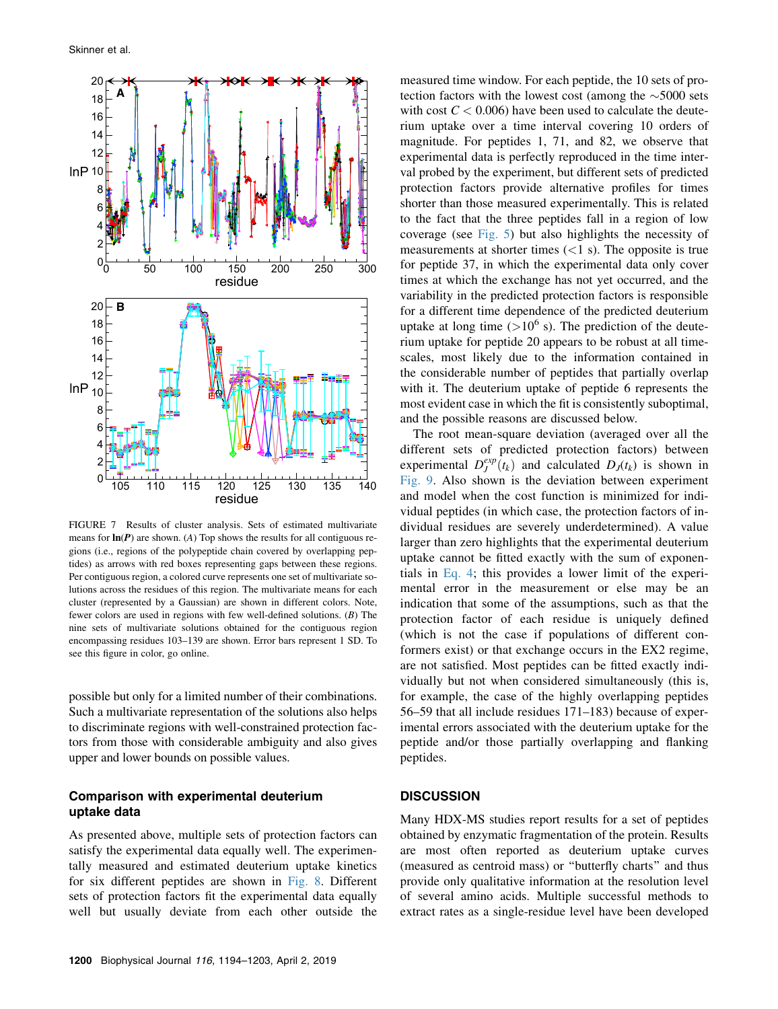<span id="page-6-0"></span>

FIGURE 7 Results of cluster analysis. Sets of estimated multivariate means for  $\ln(P)$  are shown. (A) Top shows the results for all contiguous regions (i.e., regions of the polypeptide chain covered by overlapping peptides) as arrows with red boxes representing gaps between these regions. Per contiguous region, a colored curve represents one set of multivariate solutions across the residues of this region. The multivariate means for each cluster (represented by a Gaussian) are shown in different colors. Note, fewer colors are used in regions with few well-defined solutions. (B) The nine sets of multivariate solutions obtained for the contiguous region encompassing residues 103–139 are shown. Error bars represent 1 SD. To see this figure in color, go online.

possible but only for a limited number of their combinations. Such a multivariate representation of the solutions also helps to discriminate regions with well-constrained protection factors from those with considerable ambiguity and also gives upper and lower bounds on possible values.

## Comparison with experimental deuterium uptake data

As presented above, multiple sets of protection factors can satisfy the experimental data equally well. The experimentally measured and estimated deuterium uptake kinetics for six different peptides are shown in [Fig. 8.](#page-7-0) Different sets of protection factors fit the experimental data equally well but usually deviate from each other outside the measured time window. For each peptide, the 10 sets of protection factors with the lowest cost (among the  $\sim$ 5000 sets with cost  $C < 0.006$ ) have been used to calculate the deuterium uptake over a time interval covering 10 orders of magnitude. For peptides 1, 71, and 82, we observe that experimental data is perfectly reproduced in the time interval probed by the experiment, but different sets of predicted protection factors provide alternative profiles for times shorter than those measured experimentally. This is related to the fact that the three peptides fall in a region of low coverage (see [Fig. 5\)](#page-5-1) but also highlights the necessity of measurements at shorter times  $(<1 s)$ . The opposite is true for peptide 37, in which the experimental data only cover times at which the exchange has not yet occurred, and the variability in the predicted protection factors is responsible for a different time dependence of the predicted deuterium uptake at long time  $(>10^6$  s). The prediction of the deuterium uptake for peptide 20 appears to be robust at all timescales, most likely due to the information contained in the considerable number of peptides that partially overlap with it. The deuterium uptake of peptide 6 represents the most evident case in which the fit is consistently suboptimal, and the possible reasons are discussed below.

The root mean-square deviation (averaged over all the different sets of predicted protection factors) between experimental  $D_J^{exp}(t_k)$  and calculated  $D_J(t_k)$  is shown in<br>Fig. 9. Also shown is the deviation between experiment [Fig. 9.](#page-7-1) Also shown is the deviation between experiment and model when the cost function is minimized for individual peptides (in which case, the protection factors of individual residues are severely underdetermined). A value larger than zero highlights that the experimental deuterium uptake cannot be fitted exactly with the sum of exponentials in [Eq. 4](#page-2-0); this provides a lower limit of the experimental error in the measurement or else may be an indication that some of the assumptions, such as that the protection factor of each residue is uniquely defined (which is not the case if populations of different conformers exist) or that exchange occurs in the EX2 regime, are not satisfied. Most peptides can be fitted exactly individually but not when considered simultaneously (this is, for example, the case of the highly overlapping peptides 56–59 that all include residues 171–183) because of experimental errors associated with the deuterium uptake for the peptide and/or those partially overlapping and flanking peptides.

#### **DISCUSSION**

Many HDX-MS studies report results for a set of peptides obtained by enzymatic fragmentation of the protein. Results are most often reported as deuterium uptake curves (measured as centroid mass) or ''butterfly charts'' and thus provide only qualitative information at the resolution level of several amino acids. Multiple successful methods to extract rates as a single-residue level have been developed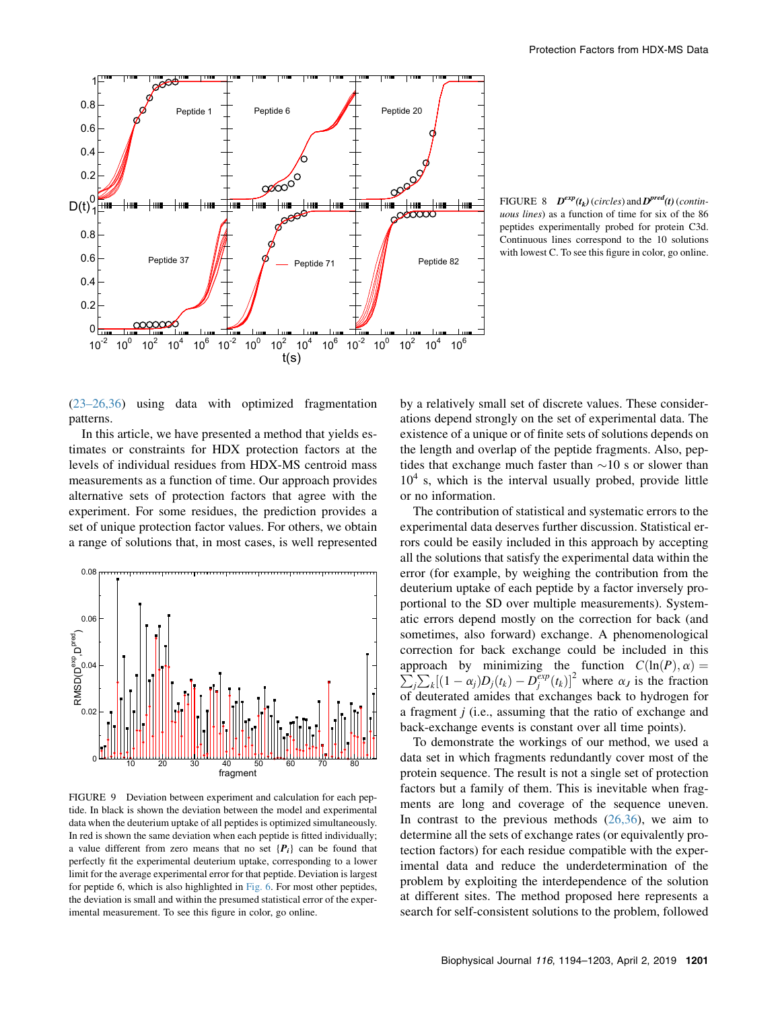<span id="page-7-0"></span>

FIGURE 8  $D^{exp}(t_k)$  (circles) and  $D^{pred}(t)$  (continuous lines) as a function of time for six of the 86 peptides experimentally probed for protein C3d. Continuous lines correspond to the 10 solutions with lowest C. To see this figure in color, go online.

([23–26,36](#page-8-13)) using data with optimized fragmentation patterns.

In this article, we have presented a method that yields estimates or constraints for HDX protection factors at the levels of individual residues from HDX-MS centroid mass measurements as a function of time. Our approach provides alternative sets of protection factors that agree with the experiment. For some residues, the prediction provides a set of unique protection factor values. For others, we obtain a range of solutions that, in most cases, is well represented

<span id="page-7-1"></span>

FIGURE 9 Deviation between experiment and calculation for each peptide. In black is shown the deviation between the model and experimental data when the deuterium uptake of all peptides is optimized simultaneously. In red is shown the same deviation when each peptide is fitted individually; a value different from zero means that no set  ${P_i}$  can be found that perfectly fit the experimental deuterium uptake, corresponding to a lower limit for the average experimental error for that peptide. Deviation is largest for peptide 6, which is also highlighted in [Fig. 6.](#page-5-2) For most other peptides, the deviation is small and within the presumed statistical error of the experimental measurement. To see this figure in color, go online.

by a relatively small set of discrete values. These considerations depend strongly on the set of experimental data. The existence of a unique or of finite sets of solutions depends on the length and overlap of the peptide fragments. Also, peptides that exchange much faster than  $\sim$ 10 s or slower than  $10<sup>4</sup>$  s, which is the interval usually probed, provide little or no information.

The contribution of statistical and systematic errors to the experimental data deserves further discussion. Statistical errors could be easily included in this approach by accepting all the solutions that satisfy the experimental data within the error (for example, by weighing the contribution from the deuterium uptake of each peptide by a factor inversely proportional to the SD over multiple measurements). Systematic errors depend mostly on the correction for back (and sometimes, also forward) exchange. A phenomenological correction for back exchange could be included in this approach by minimizing the function approach by minimizing the function  $C(\ln(P), \alpha) = \sum_j \sum_k [(1 - \alpha_j)D_j(t_k) - D_j^{exp}(t_k)]^2$  where  $\alpha_j$  is the fraction of deuterated amides that exchanges back to hydrogen for of deuterated amides that exchanges back to hydrogen for a fragment j (i.e., assuming that the ratio of exchange and back-exchange events is constant over all time points).

To demonstrate the workings of our method, we used a data set in which fragments redundantly cover most of the protein sequence. The result is not a single set of protection factors but a family of them. This is inevitable when fragments are long and coverage of the sequence uneven. In contrast to the previous methods  $(26,36)$  $(26,36)$  $(26,36)$ , we aim to determine all the sets of exchange rates (or equivalently protection factors) for each residue compatible with the experimental data and reduce the underdetermination of the problem by exploiting the interdependence of the solution at different sites. The method proposed here represents a search for self-consistent solutions to the problem, followed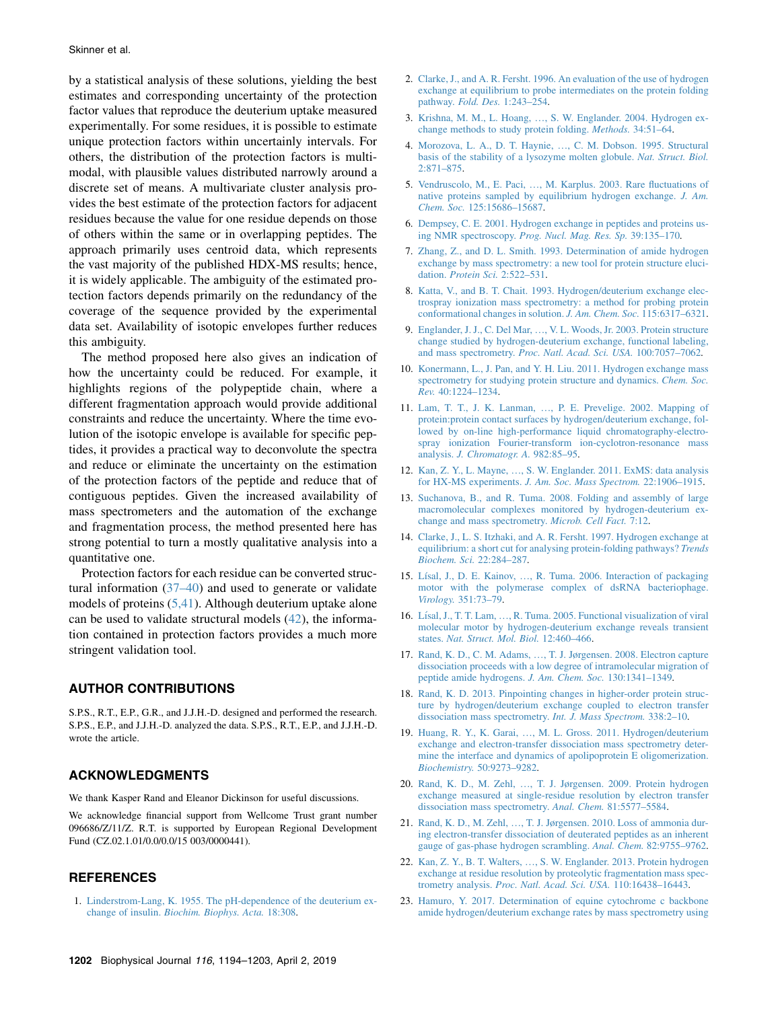by a statistical analysis of these solutions, yielding the best estimates and corresponding uncertainty of the protection factor values that reproduce the deuterium uptake measured experimentally. For some residues, it is possible to estimate unique protection factors within uncertainly intervals. For others, the distribution of the protection factors is multimodal, with plausible values distributed narrowly around a discrete set of means. A multivariate cluster analysis provides the best estimate of the protection factors for adjacent residues because the value for one residue depends on those of others within the same or in overlapping peptides. The approach primarily uses centroid data, which represents the vast majority of the published HDX-MS results; hence, it is widely applicable. The ambiguity of the estimated protection factors depends primarily on the redundancy of the coverage of the sequence provided by the experimental data set. Availability of isotopic envelopes further reduces this ambiguity.

The method proposed here also gives an indication of how the uncertainty could be reduced. For example, it highlights regions of the polypeptide chain, where a different fragmentation approach would provide additional constraints and reduce the uncertainty. Where the time evolution of the isotopic envelope is available for specific peptides, it provides a practical way to deconvolute the spectra and reduce or eliminate the uncertainty on the estimation of the protection factors of the peptide and reduce that of contiguous peptides. Given the increased availability of mass spectrometers and the automation of the exchange and fragmentation process, the method presented here has strong potential to turn a mostly qualitative analysis into a quantitative one.

Protection factors for each residue can be converted structural information [\(37–40](#page-9-11)) and used to generate or validate models of proteins [\(5,41\)](#page-8-16). Although deuterium uptake alone can be used to validate structural models ([42\)](#page-9-12), the information contained in protection factors provides a much more stringent validation tool.

#### AUTHOR CONTRIBUTIONS

S.P.S., R.T., E.P., G.R., and J.J.H.-D. designed and performed the research. S.P.S., E.P., and J.J.H.-D. analyzed the data. S.P.S., R.T., E.P., and J.J.H.-D. wrote the article.

# ACKNOWLEDGMENTS

We thank Kasper Rand and Eleanor Dickinson for useful discussions.

We acknowledge financial support from Wellcome Trust grant number 096686/Z/11/Z. R.T. is supported by European Regional Development Fund (CZ.02.1.01/0.0/0.0/15 003/0000441).

#### **REFERENCES**

<span id="page-8-0"></span>1. [Linderstrom-Lang, K. 1955. The pH-dependence of the deuterium ex](http://refhub.elsevier.com/S0006-3495(19)30165-1/sref1)change of insulin. [Biochim. Biophys. Acta.](http://refhub.elsevier.com/S0006-3495(19)30165-1/sref1) 18:308.

- <span id="page-8-1"></span>2. [Clarke, J., and A. R. Fersht. 1996. An evaluation of the use of hydrogen](http://refhub.elsevier.com/S0006-3495(19)30165-1/sref2) [exchange at equilibrium to probe intermediates on the protein folding](http://refhub.elsevier.com/S0006-3495(19)30165-1/sref2) pathway. Fold. Des. [1:243–254.](http://refhub.elsevier.com/S0006-3495(19)30165-1/sref2)
- 3. Krishna, M. M., L. Hoang, .[, S. W. Englander. 2004. Hydrogen ex](http://refhub.elsevier.com/S0006-3495(19)30165-1/sref3)[change methods to study protein folding.](http://refhub.elsevier.com/S0006-3495(19)30165-1/sref3) Methods. 34:51–64.
- 4. Morozova, L. A., D. T. Haynie, .[, C. M. Dobson. 1995. Structural](http://refhub.elsevier.com/S0006-3495(19)30165-1/sref4) [basis of the stability of a lysozyme molten globule.](http://refhub.elsevier.com/S0006-3495(19)30165-1/sref4) Nat. Struct. Biol. [2:871–875](http://refhub.elsevier.com/S0006-3495(19)30165-1/sref4).
- <span id="page-8-16"></span>5. Vendruscolo, M., E. Paci, ...[, M. Karplus. 2003. Rare fluctuations of](http://refhub.elsevier.com/S0006-3495(19)30165-1/sref5) [native proteins sampled by equilibrium hydrogen exchange.](http://refhub.elsevier.com/S0006-3495(19)30165-1/sref5) J. Am. Chem. Soc. [125:15686–15687](http://refhub.elsevier.com/S0006-3495(19)30165-1/sref5).
- <span id="page-8-2"></span>6. [Dempsey, C. E. 2001. Hydrogen exchange in peptides and proteins us](http://refhub.elsevier.com/S0006-3495(19)30165-1/sref6)ing NMR spectroscopy. [Prog. Nucl. Mag. Res. Sp.](http://refhub.elsevier.com/S0006-3495(19)30165-1/sref6) 39:135–170.
- <span id="page-8-3"></span>7. [Zhang, Z., and D. L. Smith. 1993. Determination of amide hydrogen](http://refhub.elsevier.com/S0006-3495(19)30165-1/sref7) [exchange by mass spectrometry: a new tool for protein structure eluci](http://refhub.elsevier.com/S0006-3495(19)30165-1/sref7)dation. [Protein Sci.](http://refhub.elsevier.com/S0006-3495(19)30165-1/sref7) 2:522–531.
- 8. [Katta, V., and B. T. Chait. 1993. Hydrogen/deuterium exchange elec](http://refhub.elsevier.com/S0006-3495(19)30165-1/sref8)[trospray ionization mass spectrometry: a method for probing protein](http://refhub.elsevier.com/S0006-3495(19)30165-1/sref8) [conformational changes in solution.](http://refhub.elsevier.com/S0006-3495(19)30165-1/sref8) J. Am. Chem. Soc. 115:6317–6321.
- 9. Englander, J. J., C. Del Mar, .[, V. L. Woods, Jr. 2003. Protein structure](http://refhub.elsevier.com/S0006-3495(19)30165-1/sref9) [change studied by hydrogen-deuterium exchange, functional labeling,](http://refhub.elsevier.com/S0006-3495(19)30165-1/sref9) and mass spectrometry. [Proc. Natl. Acad. Sci. USA.](http://refhub.elsevier.com/S0006-3495(19)30165-1/sref9) 100:7057–7062.
- <span id="page-8-8"></span>10. [Konermann, L., J. Pan, and Y. H. Liu. 2011. Hydrogen exchange mass](http://refhub.elsevier.com/S0006-3495(19)30165-1/sref10) [spectrometry for studying protein structure and dynamics.](http://refhub.elsevier.com/S0006-3495(19)30165-1/sref10) Chem. Soc. Rev. [40:1224–1234](http://refhub.elsevier.com/S0006-3495(19)30165-1/sref10).
- <span id="page-8-4"></span>11. Lam, T. T., J. K. Lanman, .[, P. E. Prevelige. 2002. Mapping of](http://refhub.elsevier.com/S0006-3495(19)30165-1/sref11) [protein:protein contact surfaces by hydrogen/deuterium exchange, fol](http://refhub.elsevier.com/S0006-3495(19)30165-1/sref11)[lowed by on-line high-performance liquid chromatography-electro](http://refhub.elsevier.com/S0006-3495(19)30165-1/sref11)[spray ionization Fourier-transform ion-cyclotron-resonance mass](http://refhub.elsevier.com/S0006-3495(19)30165-1/sref11) analysis. [J. Chromatogr. A.](http://refhub.elsevier.com/S0006-3495(19)30165-1/sref11) 982:85–95.
- <span id="page-8-7"></span>12. Kan, Z. Y., L. Mayne, .[, S. W. Englander. 2011. ExMS: data analysis](http://refhub.elsevier.com/S0006-3495(19)30165-1/sref12) for HX-MS experiments. [J. Am. Soc. Mass Spectrom.](http://refhub.elsevier.com/S0006-3495(19)30165-1/sref12) 22:1906–1915.
- <span id="page-8-5"></span>13. [Suchanova, B., and R. Tuma. 2008. Folding and assembly of large](http://refhub.elsevier.com/S0006-3495(19)30165-1/sref13) [macromolecular complexes monitored by hydrogen-deuterium ex](http://refhub.elsevier.com/S0006-3495(19)30165-1/sref13)[change and mass spectrometry.](http://refhub.elsevier.com/S0006-3495(19)30165-1/sref13) Microb. Cell Fact. 7:12.
- <span id="page-8-6"></span>14. [Clarke, J., L. S. Itzhaki, and A. R. Fersht. 1997. Hydrogen exchange at](http://refhub.elsevier.com/S0006-3495(19)30165-1/sref14) [equilibrium: a short cut for analysing protein-folding pathways?](http://refhub.elsevier.com/S0006-3495(19)30165-1/sref14) Trends [Biochem. Sci.](http://refhub.elsevier.com/S0006-3495(19)30165-1/sref14) 22:284–287.
- 15. Lísal, J., D. E. Kainov, ...[, R. Tuma. 2006. Interaction of packaging](http://refhub.elsevier.com/S0006-3495(19)30165-1/sref15) [motor with the polymerase complex of dsRNA bacteriophage.](http://refhub.elsevier.com/S0006-3495(19)30165-1/sref15) Virology. [351:73–79](http://refhub.elsevier.com/S0006-3495(19)30165-1/sref15).
- <span id="page-8-15"></span>16. Lísal, J., T. T. Lam, ...[, R. Tuma. 2005. Functional visualization of viral](http://refhub.elsevier.com/S0006-3495(19)30165-1/sref16) [molecular motor by hydrogen-deuterium exchange reveals transient](http://refhub.elsevier.com/S0006-3495(19)30165-1/sref16) states. [Nat. Struct. Mol. Biol.](http://refhub.elsevier.com/S0006-3495(19)30165-1/sref16) 12:460–466.
- <span id="page-8-9"></span>17. Rand, K. D., C. M. Adams, .[, T. J. Jørgensen. 2008. Electron capture](http://refhub.elsevier.com/S0006-3495(19)30165-1/sref17) [dissociation proceeds with a low degree of intramolecular migration of](http://refhub.elsevier.com/S0006-3495(19)30165-1/sref17) [peptide amide hydrogens.](http://refhub.elsevier.com/S0006-3495(19)30165-1/sref17) J. Am. Chem. Soc. 130:1341–1349.
- <span id="page-8-10"></span>18. [Rand, K. D. 2013. Pinpointing changes in higher-order protein struc](http://refhub.elsevier.com/S0006-3495(19)30165-1/sref18)[ture by hydrogen/deuterium exchange coupled to electron transfer](http://refhub.elsevier.com/S0006-3495(19)30165-1/sref18) [dissociation mass spectrometry.](http://refhub.elsevier.com/S0006-3495(19)30165-1/sref18) Int. J. Mass Spectrom. 338:2–10.
- <span id="page-8-14"></span>19. Huang, R. Y., K. Garai, ...[, M. L. Gross. 2011. Hydrogen/deuterium](http://refhub.elsevier.com/S0006-3495(19)30165-1/sref19) [exchange and electron-transfer dissociation mass spectrometry deter](http://refhub.elsevier.com/S0006-3495(19)30165-1/sref19)[mine the interface and dynamics of apolipoprotein E oligomerization.](http://refhub.elsevier.com/S0006-3495(19)30165-1/sref19) Biochemistry. [50:9273–9282](http://refhub.elsevier.com/S0006-3495(19)30165-1/sref19).
- <span id="page-8-11"></span>20. Rand, K. D., M. Zehl, ...[, T. J. Jørgensen. 2009. Protein hydrogen](http://refhub.elsevier.com/S0006-3495(19)30165-1/sref20) [exchange measured at single-residue resolution by electron transfer](http://refhub.elsevier.com/S0006-3495(19)30165-1/sref20) [dissociation mass spectrometry.](http://refhub.elsevier.com/S0006-3495(19)30165-1/sref20) Anal. Chem. 81:5577–5584.
- 21. Rand, K. D., M. Zehl, ...[, T. J. Jørgensen. 2010. Loss of ammonia dur](http://refhub.elsevier.com/S0006-3495(19)30165-1/sref21)[ing electron-transfer dissociation of deuterated peptides as an inherent](http://refhub.elsevier.com/S0006-3495(19)30165-1/sref21) [gauge of gas-phase hydrogen scrambling.](http://refhub.elsevier.com/S0006-3495(19)30165-1/sref21) Anal. Chem. 82:9755–9762.
- <span id="page-8-12"></span>22. Kan, Z. Y., B. T. Walters, ...[, S. W. Englander. 2013. Protein hydrogen](http://refhub.elsevier.com/S0006-3495(19)30165-1/sref22) [exchange at residue resolution by proteolytic fragmentation mass spec](http://refhub.elsevier.com/S0006-3495(19)30165-1/sref22)trometry analysis. [Proc. Natl. Acad. Sci. USA.](http://refhub.elsevier.com/S0006-3495(19)30165-1/sref22) 110:16438–16443.
- <span id="page-8-13"></span>23. [Hamuro, Y. 2017. Determination of equine cytochrome c backbone](http://refhub.elsevier.com/S0006-3495(19)30165-1/sref23) [amide hydrogen/deuterium exchange rates by mass spectrometry using](http://refhub.elsevier.com/S0006-3495(19)30165-1/sref23)